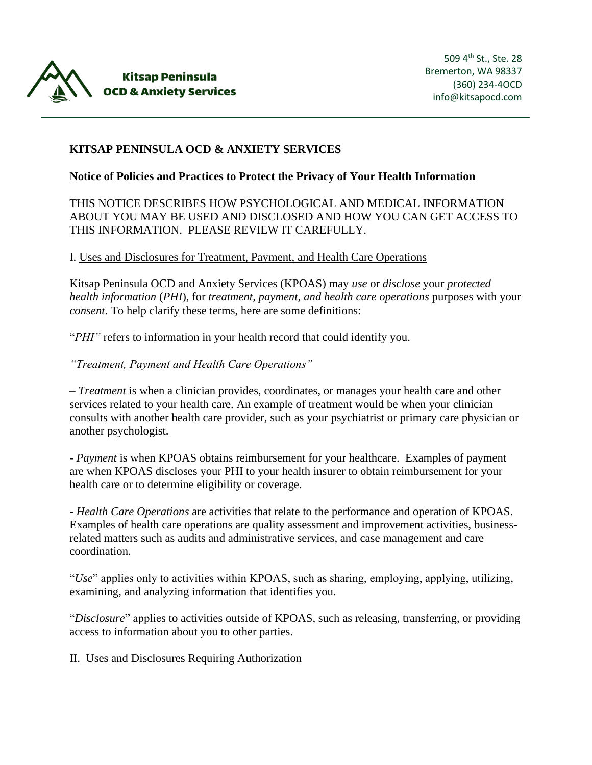

# **KITSAP PENINSULA OCD & ANXIETY SERVICES**

#### **Notice of Policies and Practices to Protect the Privacy of Your Health Information**

### THIS NOTICE DESCRIBES HOW PSYCHOLOGICAL AND MEDICAL INFORMATION ABOUT YOU MAY BE USED AND DISCLOSED AND HOW YOU CAN GET ACCESS TO THIS INFORMATION. PLEASE REVIEW IT CAREFULLY.

#### I. Uses and Disclosures for Treatment, Payment, and Health Care Operations

Kitsap Peninsula OCD and Anxiety Services (KPOAS) may *use* or *disclose* your *protected health information* (*PHI*), for *treatment, payment, and health care operations* purposes with your *consent*. To help clarify these terms, here are some definitions:

"*PHI"* refers to information in your health record that could identify you.

*"Treatment, Payment and Health Care Operations"*

– *Treatment* is when a clinician provides, coordinates, or manages your health care and other services related to your health care. An example of treatment would be when your clinician consults with another health care provider, such as your psychiatrist or primary care physician or another psychologist.

- *Payment* is when KPOAS obtains reimbursement for your healthcare. Examples of payment are when KPOAS discloses your PHI to your health insurer to obtain reimbursement for your health care or to determine eligibility or coverage.

- *Health Care Operations* are activities that relate to the performance and operation of KPOAS. Examples of health care operations are quality assessment and improvement activities, businessrelated matters such as audits and administrative services, and case management and care coordination.

"*Use*" applies only to activities within KPOAS, such as sharing, employing, applying, utilizing, examining, and analyzing information that identifies you.

"*Disclosure*" applies to activities outside of KPOAS, such as releasing, transferring, or providing access to information about you to other parties.

II. Uses and Disclosures Requiring Authorization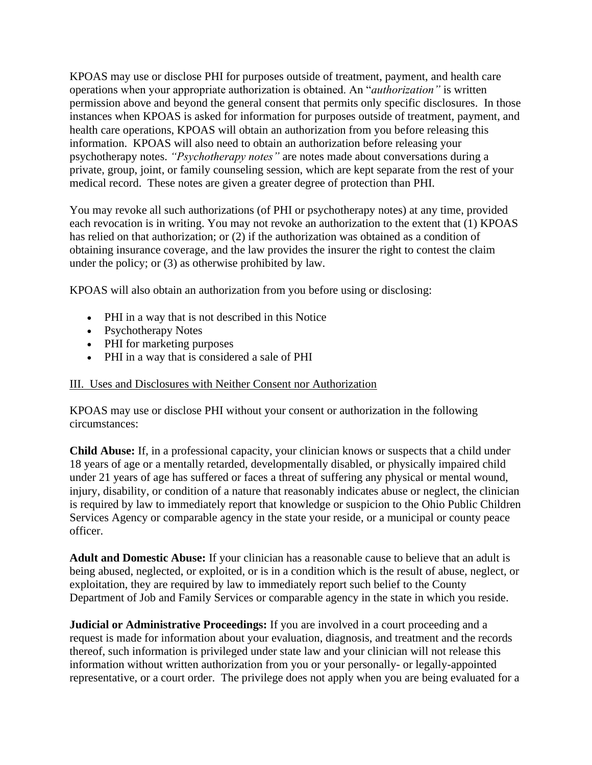KPOAS may use or disclose PHI for purposes outside of treatment, payment, and health care operations when your appropriate authorization is obtained. An "*authorization"* is written permission above and beyond the general consent that permits only specific disclosures. In those instances when KPOAS is asked for information for purposes outside of treatment, payment, and health care operations, KPOAS will obtain an authorization from you before releasing this information. KPOAS will also need to obtain an authorization before releasing your psychotherapy notes. *"Psychotherapy notes"* are notes made about conversations during a private, group, joint, or family counseling session, which are kept separate from the rest of your medical record. These notes are given a greater degree of protection than PHI.

You may revoke all such authorizations (of PHI or psychotherapy notes) at any time, provided each revocation is in writing. You may not revoke an authorization to the extent that (1) KPOAS has relied on that authorization; or (2) if the authorization was obtained as a condition of obtaining insurance coverage, and the law provides the insurer the right to contest the claim under the policy; or (3) as otherwise prohibited by law.

KPOAS will also obtain an authorization from you before using or disclosing:

- PHI in a way that is not described in this Notice
- Psychotherapy Notes
- PHI for marketing purposes
- PHI in a way that is considered a sale of PHI

# III. Uses and Disclosures with Neither Consent nor Authorization

KPOAS may use or disclose PHI without your consent or authorization in the following circumstances:

**Child Abuse:** If, in a professional capacity, your clinician knows or suspects that a child under 18 years of age or a mentally retarded, developmentally disabled, or physically impaired child under 21 years of age has suffered or faces a threat of suffering any physical or mental wound, injury, disability, or condition of a nature that reasonably indicates abuse or neglect, the clinician is required by law to immediately report that knowledge or suspicion to the Ohio Public Children Services Agency or comparable agency in the state your reside, or a municipal or county peace officer.

**Adult and Domestic Abuse:** If your clinician has a reasonable cause to believe that an adult is being abused, neglected, or exploited, or is in a condition which is the result of abuse, neglect, or exploitation, they are required by law to immediately report such belief to the County Department of Job and Family Services or comparable agency in the state in which you reside.

**Judicial or Administrative Proceedings:** If you are involved in a court proceeding and a request is made for information about your evaluation, diagnosis, and treatment and the records thereof, such information is privileged under state law and your clinician will not release this information without written authorization from you or your personally- or legally-appointed representative, or a court order. The privilege does not apply when you are being evaluated for a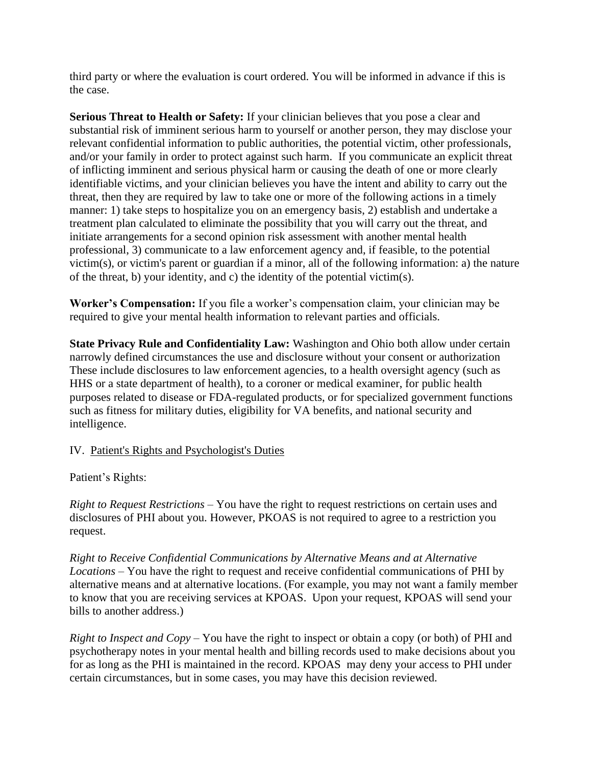third party or where the evaluation is court ordered. You will be informed in advance if this is the case.

**Serious Threat to Health or Safety:** If your clinician believes that you pose a clear and substantial risk of imminent serious harm to yourself or another person, they may disclose your relevant confidential information to public authorities, the potential victim, other professionals, and/or your family in order to protect against such harm. If you communicate an explicit threat of inflicting imminent and serious physical harm or causing the death of one or more clearly identifiable victims, and your clinician believes you have the intent and ability to carry out the threat, then they are required by law to take one or more of the following actions in a timely manner: 1) take steps to hospitalize you on an emergency basis, 2) establish and undertake a treatment plan calculated to eliminate the possibility that you will carry out the threat, and initiate arrangements for a second opinion risk assessment with another mental health professional, 3) communicate to a law enforcement agency and, if feasible, to the potential victim(s), or victim's parent or guardian if a minor, all of the following information: a) the nature of the threat, b) your identity, and c) the identity of the potential victim(s).

**Worker's Compensation:** If you file a worker's compensation claim, your clinician may be required to give your mental health information to relevant parties and officials.

**State Privacy Rule and Confidentiality Law:** Washington and Ohio both allow under certain narrowly defined circumstances the use and disclosure without your consent or authorization These include disclosures to law enforcement agencies, to a health oversight agency (such as HHS or a state department of health), to a coroner or medical examiner, for public health purposes related to disease or FDA-regulated products, or for specialized government functions such as fitness for military duties, eligibility for VA benefits, and national security and intelligence.

# IV. Patient's Rights and Psychologist's Duties

Patient's Rights:

*Right to Request Restrictions* – You have the right to request restrictions on certain uses and disclosures of PHI about you. However, PKOAS is not required to agree to a restriction you request.

*Right to Receive Confidential Communications by Alternative Means and at Alternative Locations* – You have the right to request and receive confidential communications of PHI by alternative means and at alternative locations. (For example, you may not want a family member to know that you are receiving services at KPOAS. Upon your request, KPOAS will send your bills to another address.)

*Right to Inspect and Copy* – You have the right to inspect or obtain a copy (or both) of PHI and psychotherapy notes in your mental health and billing records used to make decisions about you for as long as the PHI is maintained in the record. KPOAS may deny your access to PHI under certain circumstances, but in some cases, you may have this decision reviewed.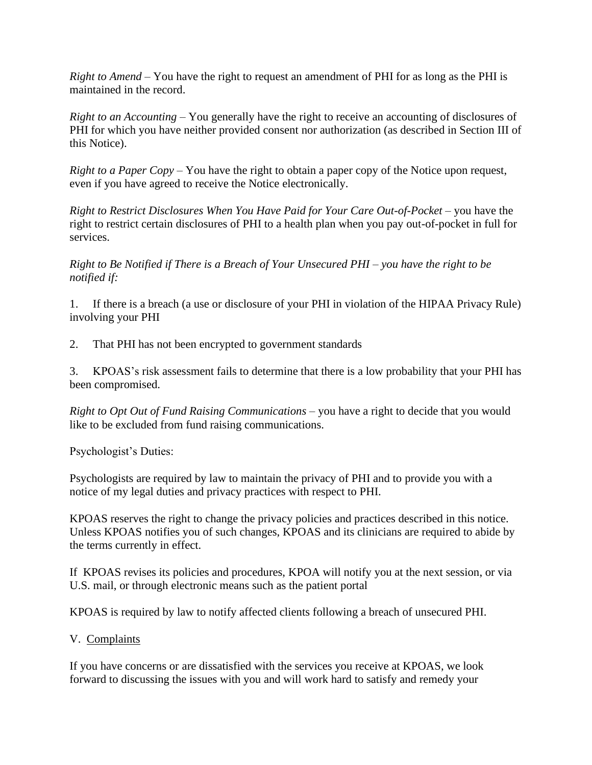*Right to Amend* – You have the right to request an amendment of PHI for as long as the PHI is maintained in the record.

*Right to an Accounting* – You generally have the right to receive an accounting of disclosures of PHI for which you have neither provided consent nor authorization (as described in Section III of this Notice).

*Right to a Paper Copy* – You have the right to obtain a paper copy of the Notice upon request, even if you have agreed to receive the Notice electronically.

*Right to Restrict Disclosures When You Have Paid for Your Care Out-of-Pocket –* you have the right to restrict certain disclosures of PHI to a health plan when you pay out-of-pocket in full for services.

*Right to Be Notified if There is a Breach of Your Unsecured PHI – you have the right to be notified if:*

1. If there is a breach (a use or disclosure of your PHI in violation of the HIPAA Privacy Rule) involving your PHI

2. That PHI has not been encrypted to government standards

3. KPOAS's risk assessment fails to determine that there is a low probability that your PHI has been compromised.

*Right to Opt Out of Fund Raising Communications* – you have a right to decide that you would like to be excluded from fund raising communications.

Psychologist's Duties:

Psychologists are required by law to maintain the privacy of PHI and to provide you with a notice of my legal duties and privacy practices with respect to PHI.

KPOAS reserves the right to change the privacy policies and practices described in this notice. Unless KPOAS notifies you of such changes, KPOAS and its clinicians are required to abide by the terms currently in effect.

If KPOAS revises its policies and procedures, KPOA will notify you at the next session, or via U.S. mail, or through electronic means such as the patient portal

KPOAS is required by law to notify affected clients following a breach of unsecured PHI.

### V. Complaints

If you have concerns or are dissatisfied with the services you receive at KPOAS, we look forward to discussing the issues with you and will work hard to satisfy and remedy your